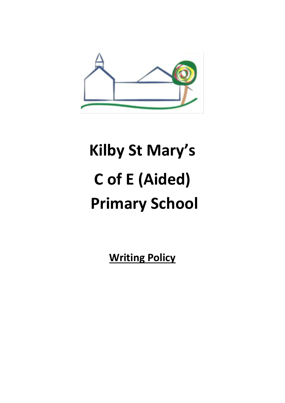

# **Kilby St Mary's C of E (Aided) Primary School**

**Writing Policy**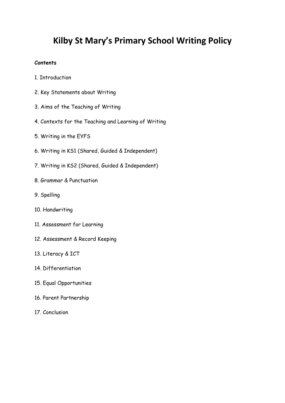# **Kilby St Mary's Primary School Writing Policy**

#### **Contents**

- 1. Introduction
- 2. Key Statements about Writing
- 3. Aims of the Teaching of Writing
- 4. Contexts for the Teaching and Learning of Writing
- 5. Writing in the EYFS
- 6. Writing in KS1 (Shared, Guided & Independent)
- 7. Writing in KS2 (Shared, Guided & Independent)
- 8. Grammar & Punctuation
- 9. Spelling
- 10. Handwriting
- 11. Assessment for Learning
- 12. Assessment & Record Keeping
- 13. Literacy & ICT
- 14. Differentiation
- 15. Equal Opportunities
- 16. Parent Partnership
- 17. Conclusion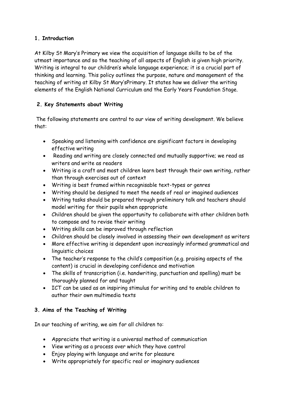# **1. Introduction**

At Kilby St Mary's Primary we view the acquisition of language skills to be of the utmost importance and so the teaching of all aspects of English is given high priority. Writing is integral to our children's whole language experience; it is a crucial part of thinking and learning. This policy outlines the purpose, nature and management of the teaching of writing at Kilby St Mary'sPrimary. It states how we deliver the writing elements of the English National Curriculum and the Early Years Foundation Stage.

# **2. Key Statements about Writing**

The following statements are central to our view of writing development. We believe that:

- Speaking and listening with confidence are significant factors in developing effective writing
- Reading and writing are closely connected and mutually supportive; we read as writers and write as readers
- Writing is a craft and most children learn best through their own writing, rather than through exercises out of context
- Writing is best framed within recognisable text-types or genres
- Writing should be designed to meet the needs of real or imagined audiences
- Writing tasks should be prepared through preliminary talk and teachers should model writing for their pupils when appropriate
- Children should be given the opportunity to collaborate with other children both to compose and to revise their writing
- Writing skills can be improved through reflection
- Children should be closely involved in assessing their own development as writers
- More effective writing is dependent upon increasingly informed grammatical and linguistic choices
- The teacher's response to the child's composition (e.g. praising aspects of the content) is crucial in developing confidence and motivation
- The skills of transcription (i.e. handwriting, punctuation and spelling) must be thoroughly planned for and taught
- ICT can be used as an inspiring stimulus for writing and to enable children to author their own multimedia texts

# **3. Aims of the Teaching of Writing**

In our teaching of writing, we aim for all children to:

- Appreciate that writing is a universal method of communication
- View writing as a process over which they have control
- Enjoy playing with language and write for pleasure
- Write appropriately for specific real or imaginary audiences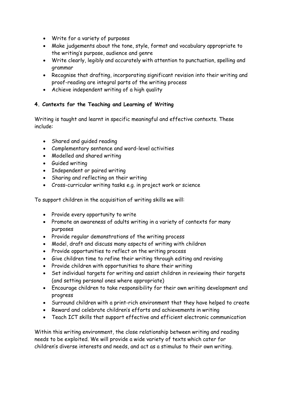- Write for a variety of purposes
- Make judgements about the tone, style, format and vocabulary appropriate to the writing's purpose, audience and genre
- Write clearly, legibly and accurately with attention to punctuation, spelling and grammar
- Recognise that drafting, incorporating significant revision into their writing and proof-reading are integral parts of the writing process
- Achieve independent writing of a high quality

# **4. Contexts for the Teaching and Learning of Writing**

Writing is taught and learnt in specific meaningful and effective contexts. These include:

- Shared and guided reading
- Complementary sentence and word-level activities
- Modelled and shared writing
- **•** Guided writing
- Independent or paired writing
- Sharing and reflecting on their writing
- Cross-curricular writing tasks e.g. in project work or science

To support children in the acquisition of writing skills we will:

- Provide every opportunity to write
- Promote an awareness of adults writing in a variety of contexts for many purposes
- Provide regular demonstrations of the writing process
- Model, draft and discuss many aspects of writing with children
- Provide opportunities to reflect on the writing process
- Give children time to refine their writing through editing and revising
- Provide children with opportunities to share their writing
- Set individual targets for writing and assist children in reviewing their targets (and setting personal ones where appropriate)
- Encourage children to take responsibility for their own writing development and progress
- Surround children with a print-rich environment that they have helped to create
- Reward and celebrate children's efforts and achievements in writing
- Teach ICT skills that support effective and efficient electronic communication

Within this writing environment, the close relationship between writing and reading needs to be exploited. We will provide a wide variety of texts which cater for children's diverse interests and needs, and act as a stimulus to their own writing.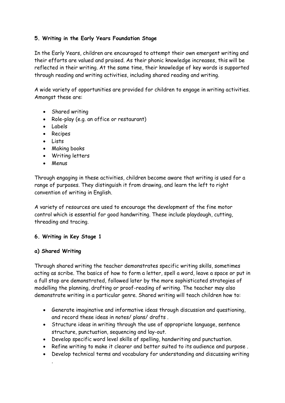# **5. Writing in the Early Years Foundation Stage**

In the Early Years, children are encouraged to attempt their own emergent writing and their efforts are valued and praised. As their phonic knowledge increases, this will be reflected in their writing. At the same time, their knowledge of key words is supported through reading and writing activities, including shared reading and writing.

A wide variety of opportunities are provided for children to engage in writing activities. Amongst these are:

- Shared writing
- Role-play (e.g. an office or restaurant)
- Labels
- Recipes
- Lists
- Making books
- Writing letters
- Menus

Through engaging in these activities, children become aware that writing is used for a range of purposes. They distinguish it from drawing, and learn the left to right convention of writing in English.

A variety of resources are used to encourage the development of the fine motor control which is essential for good handwriting. These include playdough, cutting, threading and tracing.

#### **6. Writing in Key Stage 1**

#### **a) Shared Writing**

.

Through shared writing the teacher demonstrates specific writing skills, sometimes acting as scribe. The basics of how to form a letter, spell a word, leave a space or put in a full stop are demonstrated, followed later by the more sophisticated strategies of modelling the planning, drafting or proof-reading of writing. The teacher may also demonstrate writing in a particular genre. Shared writing will teach children how to:

- Generate imaginative and informative ideas through discussion and questioning, and record these ideas in notes/ plans/ drafts .
- Structure ideas in writing through the use of appropriate language, sentence structure, punctuation, sequencing and lay-out.
- Develop specific word level skills of spelling, handwriting and punctuation.
- Refine writing to make it clearer and better suited to its audience and purpose .
- Develop technical terms and vocabulary for understanding and discussing writing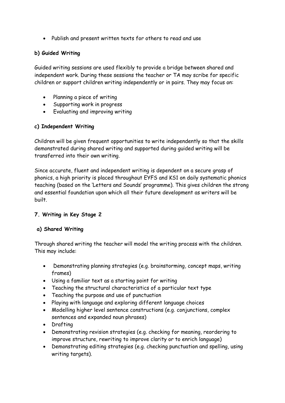Publish and present written texts for others to read and use

# **b) Guided Writing**

Guided writing sessions are used flexibly to provide a bridge between shared and independent work. During these sessions the teacher or TA may scribe for specific children or support children writing independently or in pairs. They may focus on:

- Planning a piece of writing
- Supporting work in progress
- Evaluating and improving writing

# **c) Independent Writing**

Children will be given frequent opportunities to write independently so that the skills demonstrated during shared writing and supported during guided writing will be transferred into their own writing.

Since accurate, fluent and independent writing is dependent on a secure grasp of phonics, a high priority is placed throughout EYFS and KS1 on daily systematic phonics teaching (based on the 'Letters and Sounds' programme). This gives children the strong and essential foundation upon which all their future development as writers will be built.

# **7. Writing in Key Stage 2**

# **a) Shared Writing**

Through shared writing the teacher will model the writing process with the children. This may include:

- Demonstrating planning strategies (e.g. brainstorming, concept maps, writing frames)
- Using a familiar text as a starting point for writing
- Teaching the structural characteristics of a particular text type
- Teaching the purpose and use of punctuation
- Playing with language and exploring different language choices
- Modelling higher level sentence constructions (e.g. conjunctions, complex sentences and expanded noun phrases)
- Drafting
- Demonstrating revision strategies (e.g. checking for meaning, reordering to improve structure, rewriting to improve clarity or to enrich language)
- Demonstrating editing strategies (e.g. checking punctuation and spelling, using writing targets).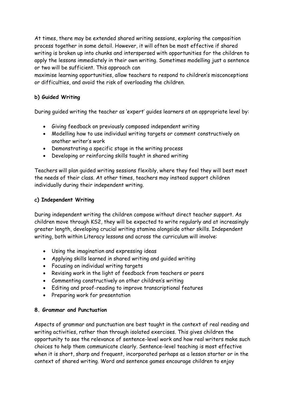At times, there may be extended shared writing sessions, exploring the composition process together in some detail. However, it will often be most effective if shared writing is broken up into chunks and interspersed with opportunities for the children to apply the lessons immediately in their own writing. Sometimes modelling just a sentence or two will be sufficient. This approach can

maximise learning opportunities, allow teachers to respond to children's misconceptions or difficulties, and avoid the risk of overloading the children.

# **b) Guided Writing**

During guided writing the teacher as 'expert' guides learners at an appropriate level by:

- Giving feedback on previously composed independent writing
- Modelling how to use individual writing targets or comment constructively on another writer's work
- Demonstrating a specific stage in the writing process
- Developing or reinforcing skills taught in shared writing

Teachers will plan guided writing sessions flexibly, where they feel they will best meet the needs of their class. At other times, teachers may instead support children individually during their independent writing.

# **c) Independent Writing**

During independent writing the children compose without direct teacher support. As children move through KS2, they will be expected to write regularly and at increasingly greater length, developing crucial writing stamina alongside other skills. Independent writing, both within Literacy lessons and across the curriculum will involve:

- Using the imagination and expressing ideas
- Applying skills learned in shared writing and guided writing
- Focusing on individual writing targets
- Revising work in the light of feedback from teachers or peers
- Commenting constructively on other children's writing
- Editing and proof-reading to improve transcriptional features
- Preparing work for presentation

# **8. Grammar and Punctuation**

Aspects of grammar and punctuation are best taught in the context of real reading and writing activities, rather than through isolated exercises. This gives children the opportunity to see the relevance of sentence-level work and how real writers make such choices to help them communicate clearly. Sentence-level teaching is most effective when it is short, sharp and frequent, incorporated perhaps as a lesson starter or in the context of shared writing. Word and sentence games encourage children to enjoy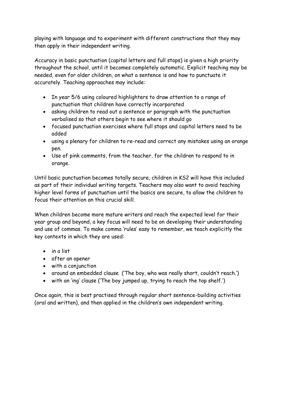playing with language and to experiment with different constructions that they may then apply in their independent writing.

Accuracy in basic punctuation (capital letters and full stops) is given a high priority throughout the school, until it becomes completely automatic. Explicit teaching may be needed, even for older children, on what a sentence is and how to punctuate it accurately. Teaching approaches may include:

- In year 5/6 using coloured highlighters to draw attention to a range of punctuation that children have correctly incorporated
- asking children to read out a sentence or paragraph with the punctuation verbalised so that others begin to see where it should go
- focused punctuation exercises where full stops and capital letters need to be added
- using a plenary for children to re-read and correct any mistakes using an orange pen.
- Use of pink comments, from the teacher, for the children to respond to in orange.

Until basic punctuation becomes totally secure, children in KS2 will have this included as part of their individual writing targets. Teachers may also want to avoid teaching higher level forms of punctuation until the basics are secure, to allow the children to focus their attention on this crucial skill.

When children become more mature writers and reach the expected level for their year group and beyond, a key focus will need to be on developing their understanding and use of commas. To make comma 'rules' easy to remember, we teach explicitly the key contexts in which they are used:

- in a list
- after an opener
- with a conjunction
- around an embedded clause ('The boy, who was really short, couldn't reach.')
- with an 'ing' clause ('The boy jumped up, trying to reach the top shelf.')

Once again, this is best practised through regular short sentence-building activities (oral and written), and then applied in the children's own independent writing.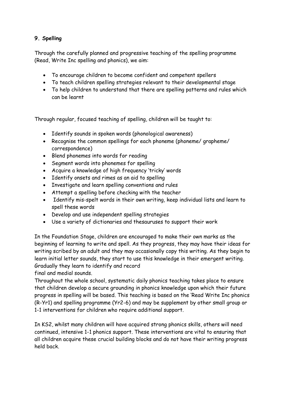# **9. Spelling**

Through the carefully planned and progressive teaching of the spelling programme (Read, Write Inc spelling and phonics), we aim:

- To encourage children to become confident and competent spellers
- To teach children spelling strategies relevant to their developmental stage
- To help children to understand that there are spelling patterns and rules which can be learnt

Through regular, focused teaching of spelling, children will be taught to:

- Identify sounds in spoken words (phonological awareness)
- Recognise the common spellings for each phoneme (phoneme/ grapheme/ correspondence)
- Blend phonemes into words for reading
- Segment words into phonemes for spelling
- Acquire a knowledge of high frequency 'tricky' words
- Identify onsets and rimes as an aid to spelling
- Investigate and learn spelling conventions and rules
- Attempt a spelling before checking with the teacher
- Identify mis-spelt words in their own writing, keep individual lists and learn to spell these words
- Develop and use independent spelling strategies
- Use a variety of dictionaries and thesauruses to support their work

In the Foundation Stage, children are encouraged to make their own marks as the beginning of learning to write and spell. As they progress, they may have their ideas for writing scribed by an adult and they may occasionally copy this writing. As they begin to learn initial letter sounds, they start to use this knowledge in their emergent writing. Gradually they learn to identify and record

final and medial sounds.

Throughout the whole school, systematic daily phonics teaching takes place to ensure that children develop a secure grounding in phonics knowledge upon which their future progress in spelling will be based. This teaching is based on the 'Read Write Inc phonics (R-Yr1) and spelling programme (Yr2-6) and may be supplement by other small group or 1-1 interventions for children who require additional support.

In KS2, whilst many children will have acquired strong phonics skills, others will need continued, intensive 1-1 phonics support. These interventions are vital to ensuring that all children acquire these crucial building blocks and do not have their writing progress held back.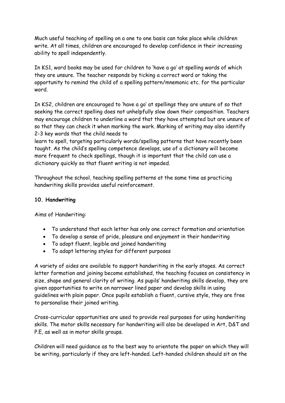Much useful teaching of spelling on a one to one basis can take place while children write. At all times, children are encouraged to develop confidence in their increasing ability to spell independently.

In KS1, word books may be used for children to 'have a go' at spelling words of which they are unsure. The teacher responds by ticking a correct word or taking the opportunity to remind the child of a spelling pattern/mnemonic etc. for the particular word.

In KS2, children are encouraged to 'have a go' at spellings they are unsure of so that seeking the correct spelling does not unhelpfully slow down their composition. Teachers may encourage children to underline a word that they have attempted but are unsure of so that they can check it when marking the work. Marking of writing may also identify 2-3 key words that the child needs to

learn to spell, targeting particularly words/spelling patterns that have recently been taught. As the child's spelling competence develops, use of a dictionary will become more frequent to check spellings, though it is important that the child can use a dictionary quickly so that fluent writing is not impeded.

Throughout the school, teaching spelling patterns at the same time as practicing handwriting skills provides useful reinforcement.

#### **10. Handwriting**

Aims of Handwriting:

- To understand that each letter has only one correct formation and orientation
- To develop a sense of pride, pleasure and enjoyment in their handwriting
- To adopt fluent, legible and joined handwriting
- To adapt lettering styles for different purposes

A variety of aides are available to support handwriting in the early stages. As correct letter formation and joining become established, the teaching focuses on consistency in size, shape and general clarity of writing. As pupils' handwriting skills develop, they are given opportunities to write on narrower lined paper and develop skills in using guidelines with plain paper. Once pupils establish a fluent, cursive style, they are free to personalise their joined writing.

Cross-curricular opportunities are used to provide real purposes for using handwriting skills. The motor skills necessary for handwriting will also be developed in Art, D&T and P.E, as well as in motor skills groups.

Children will need guidance as to the best way to orientate the paper on which they will be writing, particularly if they are left-handed. Left-handed children should sit on the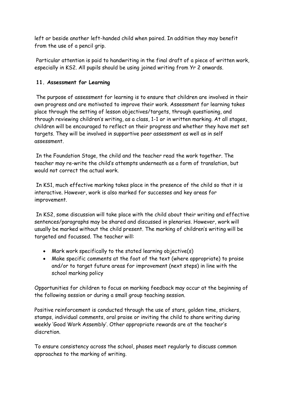left or beside another left-handed child when paired. In addition they may benefit from the use of a pencil grip.

Particular attention is paid to handwriting in the final draft of a piece of written work, especially in KS2. All pupils should be using joined writing from Yr 2 onwards.

# **11. Assessment for Learning**

The purpose of assessment for learning is to ensure that children are involved in their own progress and are motivated to improve their work. Assessment for learning takes place through the setting of lesson objectives/targets, through questioning, and through reviewing children's writing, as a class, 1-1 or in written marking. At all stages, children will be encouraged to reflect on their progress and whether they have met set targets. They will be involved in supportive peer assessment as well as in self assessment.

In the Foundation Stage, the child and the teacher read the work together. The teacher may re-write the child's attempts underneath as a form of translation, but would not correct the actual work.

In KS1, much effective marking takes place in the presence of the child so that it is interactive. However, work is also marked for successes and key areas for improvement.

In KS2, some discussion will take place with the child about their writing and effective sentences/paragraphs may be shared and discussed in plenaries. However, work will usually be marked without the child present. The marking of children's writing will be targeted and focussed. The teacher will:

- Mark work specifically to the stated learning objective(s)
- Make specific comments at the foot of the text (where appropriate) to praise and/or to target future areas for improvement (next steps) in line with the school marking policy

Opportunities for children to focus on marking feedback may occur at the beginning of the following session or during a small group teaching session.

Positive reinforcement is conducted through the use of stars, golden time, stickers, stamps, individual comments, oral praise or inviting the child to share writing during weekly 'Good Work Assembly'. Other appropriate rewards are at the teacher's discretion.

To ensure consistency across the school, phases meet regularly to discuss common approaches to the marking of writing.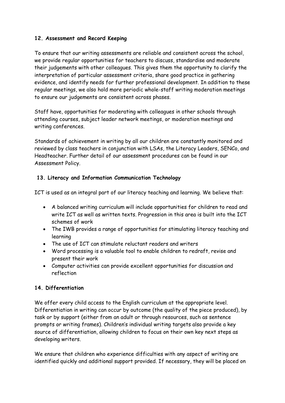#### **12. Assessment and Record Keeping**

To ensure that our writing assessments are reliable and consistent across the school, we provide regular opportunities for teachers to discuss, standardise and moderate their judgements with other colleagues. This gives them the opportunity to clarify the interpretation of particular assessment criteria, share good practice in gathering evidence, and identify needs for further professional development. In addition to these regular meetings, we also hold more periodic whole-staff writing moderation meetings to ensure our judgements are consistent across phases.

Staff have, opportunities for moderating with colleagues in other schools through attending courses, subject leader network meetings, or moderation meetings and writing conferences.

Standards of achievement in writing by all our children are constantly monitored and reviewed by class teachers in conjunction with LSAs, the Literacy Leaders, SENCo, and Headteacher. Further detail of our assessment procedures can be found in our Assessment Policy.

# **13. Literacy and Information Communication Technology**

ICT is used as an integral part of our literacy teaching and learning. We believe that:

- A balanced writing curriculum will include opportunities for children to read and write ICT as well as written texts. Progression in this area is built into the ICT schemes of work
- The IWB provides a range of opportunities for stimulating literacy teaching and learning
- The use of ICT can stimulate reluctant readers and writers
- Word processing is a valuable tool to enable children to redraft, revise and present their work
- Computer activities can provide excellent opportunities for discussion and reflection

# **14. Differentiation**

We offer every child access to the English curriculum at the appropriate level. Differentiation in writing can occur by outcome (the quality of the piece produced), by task or by support (either from an adult or through resources, such as sentence prompts or writing frames). Children's individual writing targets also provide a key source of differentiation, allowing children to focus on their own key next steps as developing writers.

We ensure that children who experience difficulties with any aspect of writing are identified quickly and additional support provided. If necessary, they will be placed on